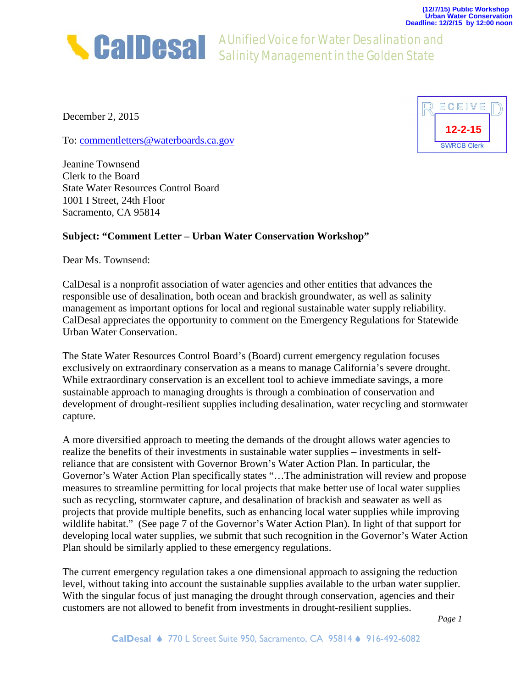

A Unified Voice for Water Desalination and Salinity Management in the Golden State

December 2, 2015

To: [commentletters@waterboards.ca.gov](mailto:commentletters@waterboards.ca.gov)

Jeanine Townsend Clerk to the Board State Water Resources Control Board 1001 I Street, 24th Floor Sacramento, CA 95814

## **Subject: "Comment Letter – Urban Water Conservation Workshop"**

Dear Ms. Townsend:

CalDesal is a nonprofit association of water agencies and other entities that advances the responsible use of desalination, both ocean and brackish groundwater, as well as salinity management as important options for local and regional sustainable water supply reliability. CalDesal appreciates the opportunity to comment on the Emergency Regulations for Statewide Urban Water Conservation.

The State Water Resources Control Board's (Board) current emergency regulation focuses exclusively on extraordinary conservation as a means to manage California's severe drought. While extraordinary conservation is an excellent tool to achieve immediate savings, a more sustainable approach to managing droughts is through a combination of conservation and development of drought-resilient supplies including desalination, water recycling and stormwater capture.

A more diversified approach to meeting the demands of the drought allows water agencies to realize the benefits of their investments in sustainable water supplies – investments in selfreliance that are consistent with Governor Brown's Water Action Plan. In particular, the Governor's Water Action Plan specifically states "…The administration will review and propose measures to streamline permitting for local projects that make better use of local water supplies such as recycling, stormwater capture, and desalination of brackish and seawater as well as projects that provide multiple benefits, such as enhancing local water supplies while improving wildlife habitat." (See page 7 of the Governor's Water Action Plan). In light of that support for developing local water supplies, we submit that such recognition in the Governor's Water Action Plan should be similarly applied to these emergency regulations.

The current emergency regulation takes a one dimensional approach to assigning the reduction level, without taking into account the sustainable supplies available to the urban water supplier. With the singular focus of just managing the drought through conservation, agencies and their customers are not allowed to benefit from investments in drought-resilient supplies.

*Page 1*

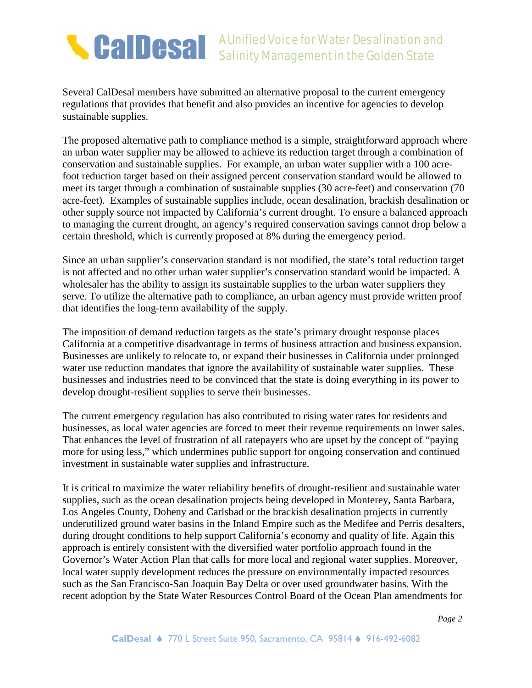

Several CalDesal members have submitted an alternative proposal to the current emergency regulations that provides that benefit and also provides an incentive for agencies to develop sustainable supplies.

The proposed alternative path to compliance method is a simple, straightforward approach where an urban water supplier may be allowed to achieve its reduction target through a combination of conservation and sustainable supplies. For example, an urban water supplier with a 100 acrefoot reduction target based on their assigned percent conservation standard would be allowed to meet its target through a combination of sustainable supplies (30 acre-feet) and conservation (70 acre-feet). Examples of sustainable supplies include, ocean desalination, brackish desalination or other supply source not impacted by California's current drought. To ensure a balanced approach to managing the current drought, an agency's required conservation savings cannot drop below a certain threshold, which is currently proposed at 8% during the emergency period.

Since an urban supplier's conservation standard is not modified, the state's total reduction target is not affected and no other urban water supplier's conservation standard would be impacted. A wholesaler has the ability to assign its sustainable supplies to the urban water suppliers they serve. To utilize the alternative path to compliance, an urban agency must provide written proof that identifies the long-term availability of the supply.

The imposition of demand reduction targets as the state's primary drought response places California at a competitive disadvantage in terms of business attraction and business expansion. Businesses are unlikely to relocate to, or expand their businesses in California under prolonged water use reduction mandates that ignore the availability of sustainable water supplies. These businesses and industries need to be convinced that the state is doing everything in its power to develop drought-resilient supplies to serve their businesses.

The current emergency regulation has also contributed to rising water rates for residents and businesses, as local water agencies are forced to meet their revenue requirements on lower sales. That enhances the level of frustration of all ratepayers who are upset by the concept of "paying more for using less," which undermines public support for ongoing conservation and continued investment in sustainable water supplies and infrastructure.

It is critical to maximize the water reliability benefits of drought-resilient and sustainable water supplies, such as the ocean desalination projects being developed in Monterey, Santa Barbara, Los Angeles County, Doheny and Carlsbad or the brackish desalination projects in currently underutilized ground water basins in the Inland Empire such as the Medifee and Perris desalters, during drought conditions to help support California's economy and quality of life. Again this approach is entirely consistent with the diversified water portfolio approach found in the Governor's Water Action Plan that calls for more local and regional water supplies. Moreover, local water supply development reduces the pressure on environmentally impacted resources such as the San Francisco-San Joaquin Bay Delta or over used groundwater basins. With the recent adoption by the State Water Resources Control Board of the Ocean Plan amendments for